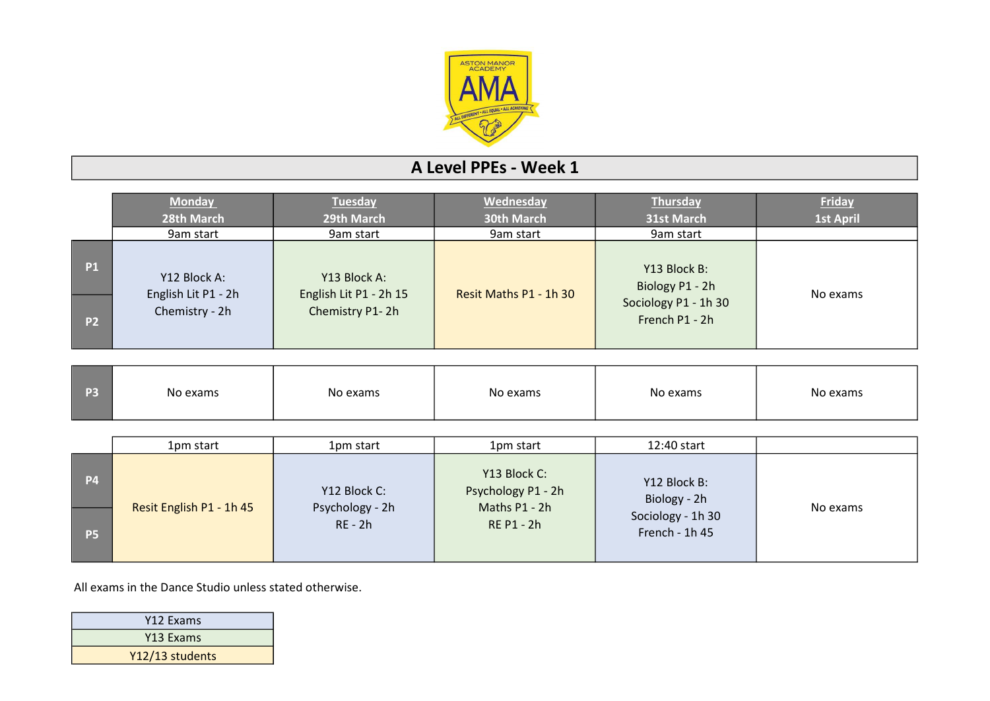

## A Level PPEs - Week 1

|                | <b>Monday</b><br>28th March           | <b>Tuesday</b><br>29th March           | Wednesday<br><b>30th March</b> | Thursday<br>31st March                 | <b>Friday</b><br><b>1st April</b> |
|----------------|---------------------------------------|----------------------------------------|--------------------------------|----------------------------------------|-----------------------------------|
|                | 9am start                             | 9am start                              | 9am start                      | 9am start                              |                                   |
| <b>P1</b>      | Y12 Block A:                          | Y13 Block A:<br>English Lit P1 - 2h 15 | Resit Maths P1 - 1h 30         | Y13 Block B:<br>Biology P1 - 2h        | No exams                          |
| P <sub>2</sub> | English Lit P1 - 2h<br>Chemistry - 2h | Chemistry P1-2h                        |                                | Sociology P1 - 1h 30<br>French P1 - 2h |                                   |

| <b>P3</b> | No exams | No exams | No exams | No exams | No exams |
|-----------|----------|----------|----------|----------|----------|
|           |          |          |          |          |          |

|           | 1pm start                | 1pm start                    | 1pm start                                           | 12:40 start                         |          |
|-----------|--------------------------|------------------------------|-----------------------------------------------------|-------------------------------------|----------|
| <b>P4</b> |                          | Y12 Block C:                 | Y13 Block C:<br>Psychology P1 - 2h<br>Maths P1 - 2h | Y12 Block B:<br>Biology - 2h        |          |
| <b>P5</b> | Resit English P1 - 1h 45 | Psychology - 2h<br>$RE - 2h$ | <b>RE P1 - 2h</b>                                   | Sociology - 1h 30<br>French - 1h 45 | No exams |

All exams in the Dance Studio unless stated otherwise.

| Y12 Exams       |
|-----------------|
| Y13 Exams       |
| Y12/13 students |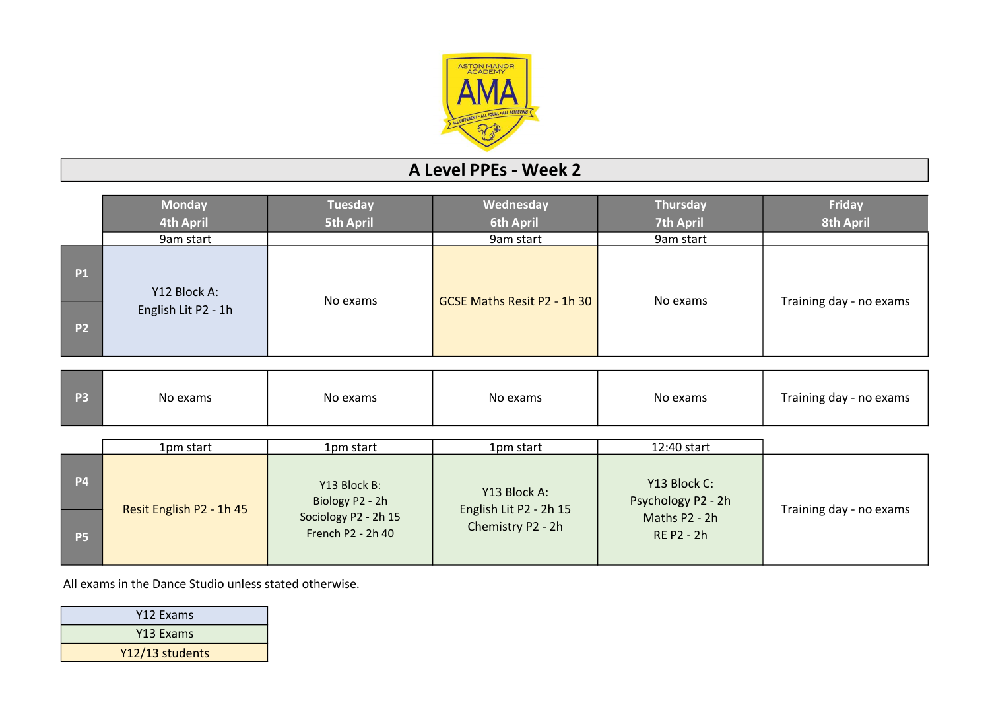

## A Level PPEs - Week 2

|           | <b>Monday</b>            | <b>Tuesday</b>                            | Wednesday                              | <b>Thursday</b>                    | <b>Friday</b>           |
|-----------|--------------------------|-------------------------------------------|----------------------------------------|------------------------------------|-------------------------|
|           | <b>4th April</b>         | <b>5th April</b>                          | <b>6th April</b>                       | <b>7th April</b>                   | <b>8th April</b>        |
|           | 9am start                |                                           | 9am start                              | 9am start                          |                         |
| <b>P1</b> | Y12 Block A:             | No exams                                  | GCSE Maths Resit P2 - 1h 30            | No exams                           |                         |
| <b>P2</b> | English Lit P2 - 1h      |                                           |                                        |                                    | Training day - no exams |
|           |                          |                                           |                                        |                                    |                         |
| <b>P3</b> | No exams                 | No exams                                  | No exams                               | No exams                           | Training day - no exams |
|           |                          |                                           |                                        |                                    |                         |
|           | 1pm start                | 1pm start                                 | 1pm start                              | 12:40 start                        |                         |
| <b>P4</b> | Resit English P2 - 1h 45 | Y13 Block B:<br>Biology P2 - 2h           | Y13 Block A:<br>English Lit P2 - 2h 15 | Y13 Block C:<br>Psychology P2 - 2h | Training day - no exams |
| <b>P5</b> |                          | Sociology P2 - 2h 15<br>French P2 - 2h 40 | Chemistry P2 - 2h                      | Maths P2 - 2h<br><b>RE P2 - 2h</b> |                         |

All exams in the Dance Studio unless stated otherwise.

| Y12 Exams             |
|-----------------------|
| Y <sub>13</sub> Exams |
| Y12/13 students       |